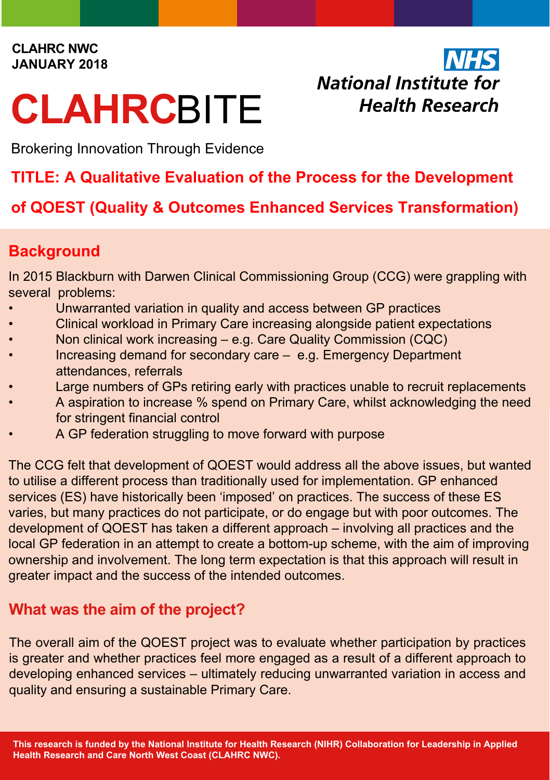#### **CLAHRC NWC JANUARY 2018**

# **CLAHRC**BITE

**NHS** National Institute for **Health Research** 

Brokering Innovation Through Evidence

# **TITLE: A Qualitative Evaluation of the Process for the Development**

# **of QOEST (Quality & Outcomes Enhanced Services Transformation)**

## **Background**

In 2015 Blackburn with Darwen Clinical Commissioning Group (CCG) were grappling with several problems:

- Unwarranted variation in quality and access between GP practices
- Clinical workload in Primary Care increasing alongside patient expectations
- Non clinical work increasing e.g. Care Quality Commission (CQC)
- Increasing demand for secondary care e.g. Emergency Department attendances, referrals
- Large numbers of GPs retiring early with practices unable to recruit replacements
- A aspiration to increase % spend on Primary Care, whilst acknowledging the need for stringent financial control
- A GP federation struggling to move forward with purpose

The CCG felt that development of QOEST would address all the above issues, but wanted to utilise a different process than traditionally used for implementation. GP enhanced services (ES) have historically been 'imposed' on practices. The success of these ES varies, but many practices do not participate, or do engage but with poor outcomes. The development of QOEST has taken a different approach – involving all practices and the local GP federation in an attempt to create a bottom-up scheme, with the aim of improving ownership and involvement. The long term expectation is that this approach will result in greater impact and the success of the intended outcomes.

# **What was the aim of the project?**

The overall aim of the QOEST project was to evaluate whether participation by practices is greater and whether practices feel more engaged as a result of a different approach to developing enhanced services – ultimately reducing unwarranted variation in access and quality and ensuring a sustainable Primary Care.